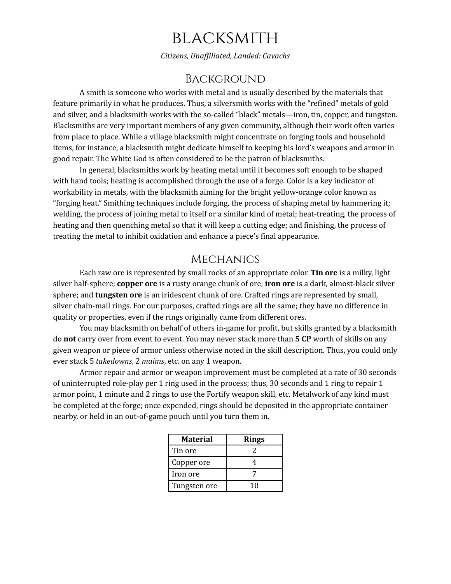# **BLACKSMITH**

*Citizens, Unaf iliated, Landed: Cavachs*

# **BACKGROUND**

A smith is someone who works with metal and is usually described by the materials that feature primarily in what he produces. Thus, a silversmith works with the "refined" metals of gold and silver, and a blacksmith works with the so-called "black" metals—iron, tin, copper, and tungsten. Blacksmiths are very important members of any given community, although their work often varies from place to place. While a village blacksmith might concentrate on forging tools and household items, for instance, a blacksmith might dedicate himself to keeping his lord's weapons and armor in good repair. The White God is often considered to be the patron of blacksmiths.

In general, blacksmiths work by heating metal until it becomes soft enough to be shaped with hand tools; heating is accomplished through the use of a forge. Color is a key indicator of workability in metals, with the blacksmith aiming for the bright yellow-orange color known as "forging heat." Smithing techniques include forging, the process of shaping metal by hammering it; welding, the process of joining metal to itself or a similar kind of metal; heat-treating, the process of heating and then quenching metal so that it will keep a cutting edge; and finishing, the process of treating the metal to inhibit oxidation and enhance a piece's final appearance.

# **MECHANICS**

Each raw ore is represented by small rocks of an appropriate color. **Tin ore** is a milky, light silver half-sphere; **copper ore** is a rusty orange chunk of ore; **iron ore** is a dark, almost-black silver sphere; and **tungsten ore** is an iridescent chunk of ore. Crafted rings are represented by small, silver chain-mail rings. For our purposes, crafted rings are all the same; they have no difference in quality or properties, even if the rings originally came from different ores.

You may blacksmith on behalf of others in-game for profit, but skills granted by a blacksmith do **not** carry over from event to event. You may never stack more than **5 CP** worth of skills on any given weapon or piece of armor unless otherwise noted in the skill description. Thus, you could only ever stack 5 *takedowns*, 2 *maims*, etc. on any 1 weapon.

Armor repair and armor or weapon improvement must be completed at a rate of 30 seconds of uninterrupted role-play per 1 ring used in the process; thus, 30 seconds and 1 ring to repair 1 armor point, 1 minute and 2 rings to use the Fortify weapon skill, etc. Metalwork of any kind must be completed at the forge; once expended, rings should be deposited in the appropriate container nearby, or held in an out-of-game pouch until you turn them in.

| Material     | <b>Rings</b> |  |
|--------------|--------------|--|
| Tin ore      |              |  |
| Copper ore   |              |  |
| Iron ore     |              |  |
| Tungsten ore | 10           |  |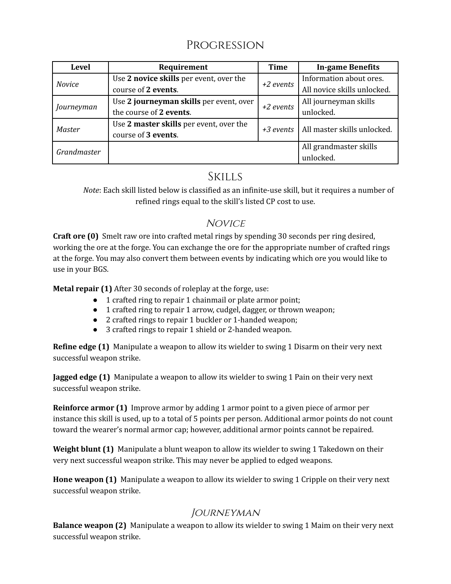# PROGRESSION

| <b>Level</b>  | Requirement                             | Time        | <b>In-game Benefits</b>     |
|---------------|-----------------------------------------|-------------|-----------------------------|
| <b>Novice</b> | Use 2 novice skills per event, over the | $+2$ events | Information about ores.     |
|               | course of 2 events.                     |             | All novice skills unlocked. |
| Journeyman    | Use 2 journeyman skills per event, over | +2 events   | All journeyman skills       |
|               | the course of 2 events.                 |             | unlocked.                   |
| Master        | Use 2 master skills per event, over the | $+3$ events | All master skills unlocked. |
|               | course of 3 events.                     |             |                             |
| Grandmaster   |                                         |             | All grandmaster skills      |
|               |                                         |             | unlocked.                   |

# **SKILLS**

*Note*: Each skill listed below is classified as an infinite-use skill, but it requires a number of refined rings equal to the skill's listed CP cost to use.

# **NOVICE**

**Craft ore (0)** Smelt raw ore into crafted metal rings by spending 30 seconds per ring desired, working the ore at the forge. You can exchange the ore for the appropriate number of crafted rings at the forge. You may also convert them between events by indicating which ore you would like to use in your BGS.

**Metal repair (1)** After 30 seconds of roleplay at the forge, use:

- 1 crafted ring to repair 1 chainmail or plate armor point;
- 1 crafted ring to repair 1 arrow, cudgel, dagger, or thrown weapon;
- 2 crafted rings to repair 1 buckler or 1-handed weapon;
- 3 crafted rings to repair 1 shield or 2-handed weapon.

**Refine edge (1)** Manipulate a weapon to allow its wielder to swing 1 Disarm on their very next successful weapon strike.

**Jagged edge (1)** Manipulate a weapon to allow its wielder to swing 1 Pain on their very next successful weapon strike.

**Reinforce armor (1)** Improve armor by adding 1 armor point to a given piece of armor per instance this skill is used, up to a total of 5 points per person. Additional armor points do not count toward the wearer's normal armor cap; however, additional armor points cannot be repaired.

**Weight blunt (1)** Manipulate a blunt weapon to allow its wielder to swing 1 Takedown on their very next successful weapon strike. This may never be applied to edged weapons.

**Hone weapon (1)** Manipulate a weapon to allow its wielder to swing 1 Cripple on their very next successful weapon strike.

# **JOURNEYMAN**

**Balance weapon (2)** Manipulate a weapon to allow its wielder to swing 1 Maim on their very next successful weapon strike.